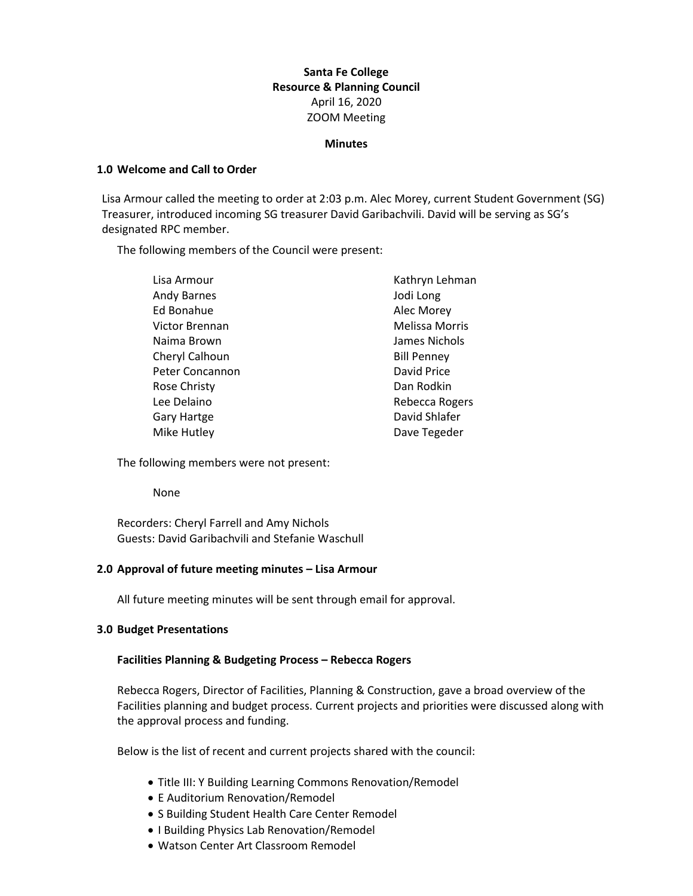# **Santa Fe College Resource & Planning Council** April 16, 2020 ZOOM Meeting

### **Minutes**

## **1.0 Welcome and Call to Order**

Lisa Armour called the meeting to order at 2:03 p.m. Alec Morey, current Student Government (SG) Treasurer, introduced incoming SG treasurer David Garibachvili. David will be serving as SG's designated RPC member.

The following members of the Council were present:

| Lisa Armour        | Kathryn Lehman        |
|--------------------|-----------------------|
| <b>Andy Barnes</b> | Jodi Long             |
| Ed Bonahue         | Alec Morey            |
| Victor Brennan     | <b>Melissa Morris</b> |
| Naima Brown        | James Nichols         |
| Cheryl Calhoun     | <b>Bill Penney</b>    |
| Peter Concannon    | David Price           |
| Rose Christy       | Dan Rodkin            |
| Lee Delaino        | Rebecca Rogers        |
| Gary Hartge        | David Shlafer         |
| Mike Hutley        | Dave Tegeder          |

The following members were not present:

None

Recorders: Cheryl Farrell and Amy Nichols Guests: David Garibachvili and Stefanie Waschull

## **2.0 Approval of future meeting minutes – Lisa Armour**

All future meeting minutes will be sent through email for approval.

#### **3.0 Budget Presentations**

#### **Facilities Planning & Budgeting Process – Rebecca Rogers**

Rebecca Rogers, Director of Facilities, Planning & Construction, gave a broad overview of the Facilities planning and budget process. Current projects and priorities were discussed along with the approval process and funding.

Below is the list of recent and current projects shared with the council:

- Title III: Y Building Learning Commons Renovation/Remodel
- E Auditorium Renovation/Remodel
- S Building Student Health Care Center Remodel
- I Building Physics Lab Renovation/Remodel
- Watson Center Art Classroom Remodel